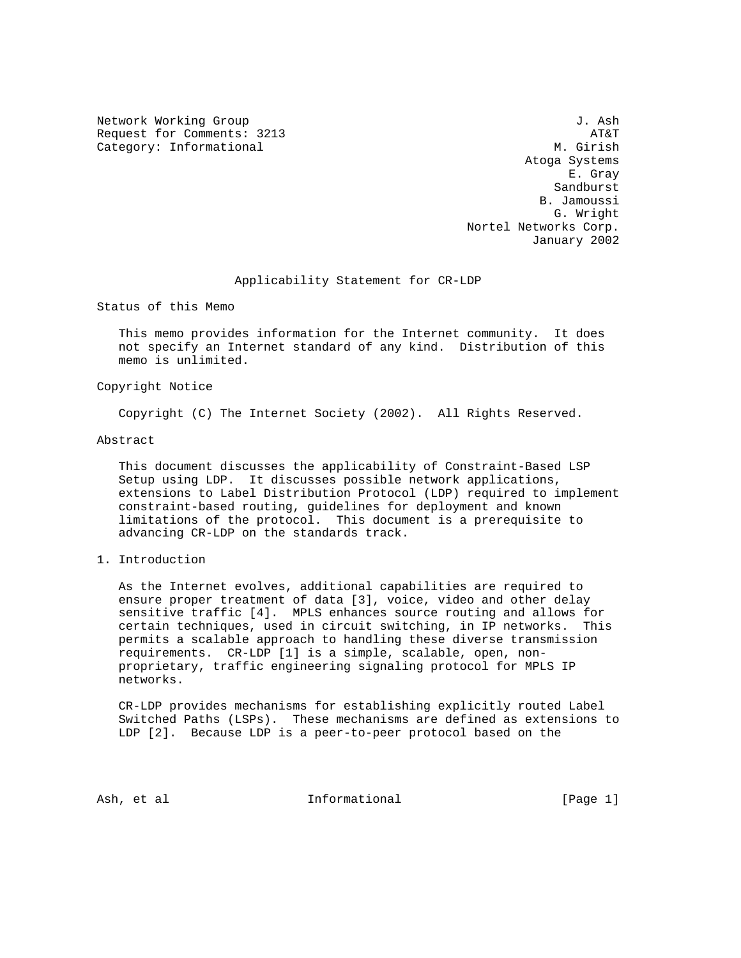Network Working Group 3. Ash J. Ash Request for Comments: 3213 AT&T Category: Informational M. Girish

 Atoga Systems E. Gray Sandburst B. Jamoussi G. Wright Nortel Networks Corp. January 2002

Applicability Statement for CR-LDP

Status of this Memo

 This memo provides information for the Internet community. It does not specify an Internet standard of any kind. Distribution of this memo is unlimited.

Copyright Notice

Copyright (C) The Internet Society (2002). All Rights Reserved.

Abstract

 This document discusses the applicability of Constraint-Based LSP Setup using LDP. It discusses possible network applications, extensions to Label Distribution Protocol (LDP) required to implement constraint-based routing, guidelines for deployment and known limitations of the protocol. This document is a prerequisite to advancing CR-LDP on the standards track.

1. Introduction

 As the Internet evolves, additional capabilities are required to ensure proper treatment of data [3], voice, video and other delay sensitive traffic [4]. MPLS enhances source routing and allows for certain techniques, used in circuit switching, in IP networks. This permits a scalable approach to handling these diverse transmission requirements. CR-LDP [1] is a simple, scalable, open, non proprietary, traffic engineering signaling protocol for MPLS IP networks.

 CR-LDP provides mechanisms for establishing explicitly routed Label Switched Paths (LSPs). These mechanisms are defined as extensions to LDP [2]. Because LDP is a peer-to-peer protocol based on the

Ash, et al informational [Page 1]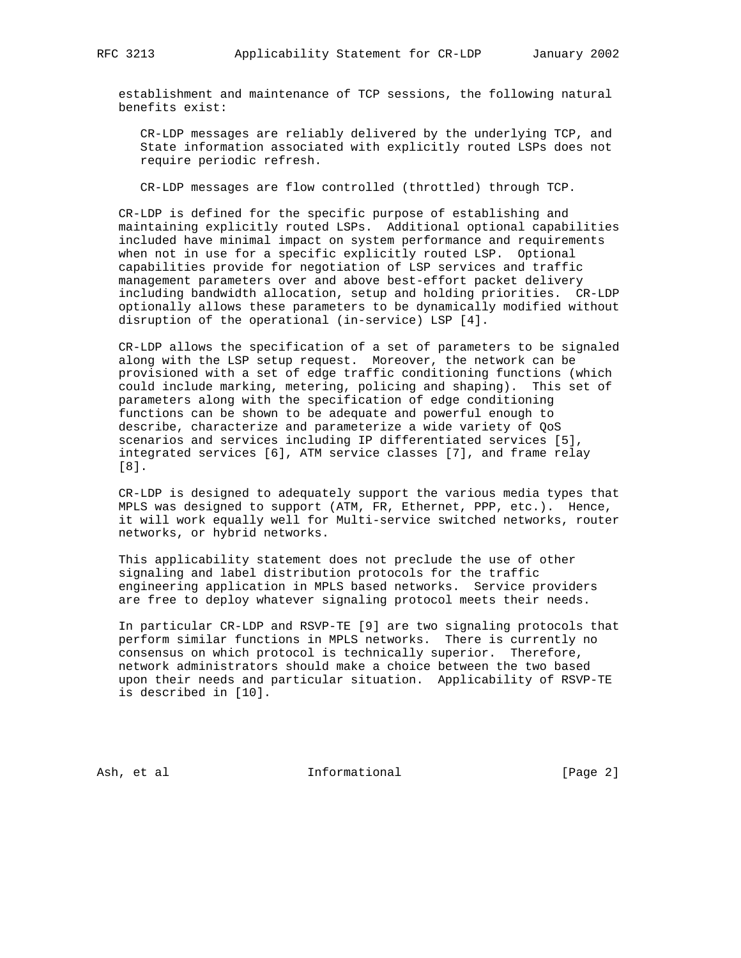establishment and maintenance of TCP sessions, the following natural benefits exist:

 CR-LDP messages are reliably delivered by the underlying TCP, and State information associated with explicitly routed LSPs does not require periodic refresh.

CR-LDP messages are flow controlled (throttled) through TCP.

 CR-LDP is defined for the specific purpose of establishing and maintaining explicitly routed LSPs. Additional optional capabilities included have minimal impact on system performance and requirements when not in use for a specific explicitly routed LSP. Optional capabilities provide for negotiation of LSP services and traffic management parameters over and above best-effort packet delivery including bandwidth allocation, setup and holding priorities. CR-LDP optionally allows these parameters to be dynamically modified without disruption of the operational (in-service) LSP [4].

 CR-LDP allows the specification of a set of parameters to be signaled along with the LSP setup request. Moreover, the network can be provisioned with a set of edge traffic conditioning functions (which could include marking, metering, policing and shaping). This set of parameters along with the specification of edge conditioning functions can be shown to be adequate and powerful enough to describe, characterize and parameterize a wide variety of QoS scenarios and services including IP differentiated services [5], integrated services [6], ATM service classes [7], and frame relay [8].

 CR-LDP is designed to adequately support the various media types that MPLS was designed to support (ATM, FR, Ethernet, PPP, etc.). Hence, it will work equally well for Multi-service switched networks, router networks, or hybrid networks.

 This applicability statement does not preclude the use of other signaling and label distribution protocols for the traffic engineering application in MPLS based networks. Service providers are free to deploy whatever signaling protocol meets their needs.

 In particular CR-LDP and RSVP-TE [9] are two signaling protocols that perform similar functions in MPLS networks. There is currently no consensus on which protocol is technically superior. Therefore, network administrators should make a choice between the two based upon their needs and particular situation. Applicability of RSVP-TE is described in [10].

Ash, et al **Informational** [Page 2]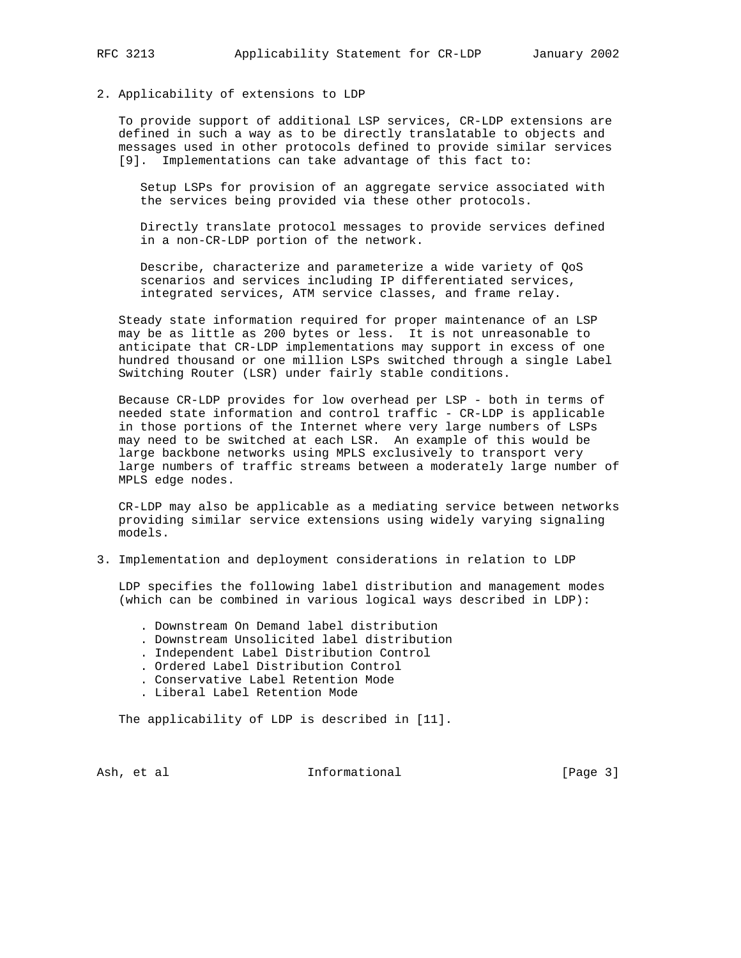## 2. Applicability of extensions to LDP

 To provide support of additional LSP services, CR-LDP extensions are defined in such a way as to be directly translatable to objects and messages used in other protocols defined to provide similar services [9]. Implementations can take advantage of this fact to:

 Setup LSPs for provision of an aggregate service associated with the services being provided via these other protocols.

 Directly translate protocol messages to provide services defined in a non-CR-LDP portion of the network.

 Describe, characterize and parameterize a wide variety of QoS scenarios and services including IP differentiated services, integrated services, ATM service classes, and frame relay.

 Steady state information required for proper maintenance of an LSP may be as little as 200 bytes or less. It is not unreasonable to anticipate that CR-LDP implementations may support in excess of one hundred thousand or one million LSPs switched through a single Label Switching Router (LSR) under fairly stable conditions.

 Because CR-LDP provides for low overhead per LSP - both in terms of needed state information and control traffic - CR-LDP is applicable in those portions of the Internet where very large numbers of LSPs may need to be switched at each LSR. An example of this would be large backbone networks using MPLS exclusively to transport very large numbers of traffic streams between a moderately large number of MPLS edge nodes.

 CR-LDP may also be applicable as a mediating service between networks providing similar service extensions using widely varying signaling models.

3. Implementation and deployment considerations in relation to LDP

 LDP specifies the following label distribution and management modes (which can be combined in various logical ways described in LDP):

- . Downstream On Demand label distribution
- . Downstream Unsolicited label distribution
- . Independent Label Distribution Control
- . Ordered Label Distribution Control
- . Conservative Label Retention Mode
- . Liberal Label Retention Mode

The applicability of LDP is described in [11].

Ash, et al **Informational** [Page 3]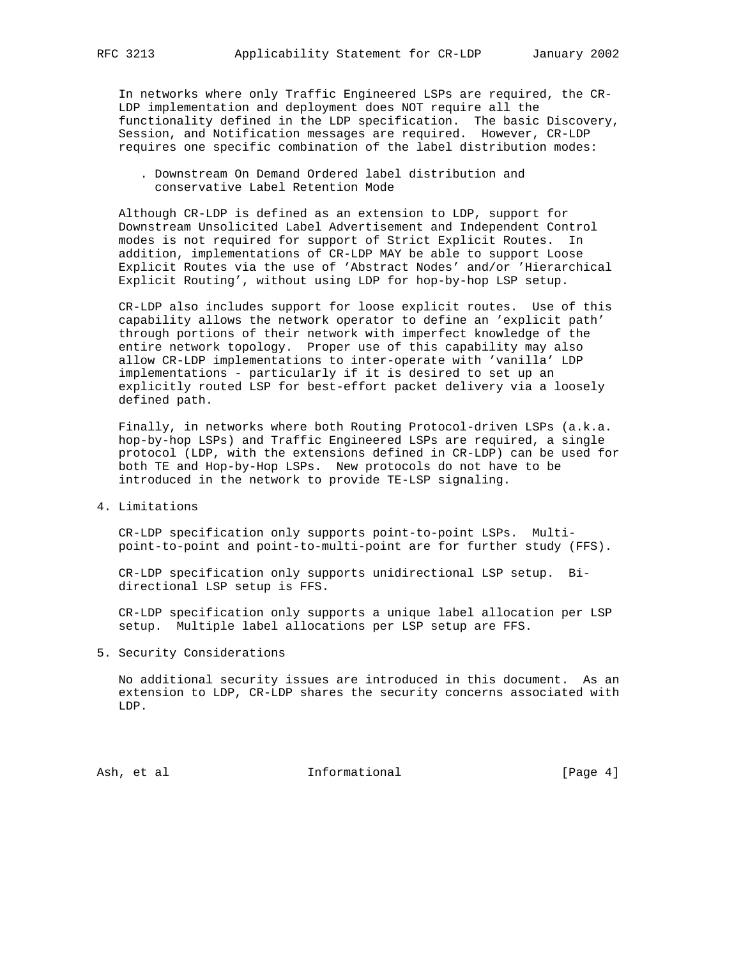In networks where only Traffic Engineered LSPs are required, the CR- LDP implementation and deployment does NOT require all the functionality defined in the LDP specification. The basic Discovery, Session, and Notification messages are required. However, CR-LDP requires one specific combination of the label distribution modes:

 . Downstream On Demand Ordered label distribution and conservative Label Retention Mode

 Although CR-LDP is defined as an extension to LDP, support for Downstream Unsolicited Label Advertisement and Independent Control modes is not required for support of Strict Explicit Routes. In addition, implementations of CR-LDP MAY be able to support Loose Explicit Routes via the use of 'Abstract Nodes' and/or 'Hierarchical Explicit Routing', without using LDP for hop-by-hop LSP setup.

 CR-LDP also includes support for loose explicit routes. Use of this capability allows the network operator to define an 'explicit path' through portions of their network with imperfect knowledge of the entire network topology. Proper use of this capability may also allow CR-LDP implementations to inter-operate with 'vanilla' LDP implementations - particularly if it is desired to set up an explicitly routed LSP for best-effort packet delivery via a loosely defined path.

 Finally, in networks where both Routing Protocol-driven LSPs (a.k.a. hop-by-hop LSPs) and Traffic Engineered LSPs are required, a single protocol (LDP, with the extensions defined in CR-LDP) can be used for both TE and Hop-by-Hop LSPs. New protocols do not have to be introduced in the network to provide TE-LSP signaling.

4. Limitations

 CR-LDP specification only supports point-to-point LSPs. Multi point-to-point and point-to-multi-point are for further study (FFS).

 CR-LDP specification only supports unidirectional LSP setup. Bi directional LSP setup is FFS.

 CR-LDP specification only supports a unique label allocation per LSP setup. Multiple label allocations per LSP setup are FFS.

5. Security Considerations

 No additional security issues are introduced in this document. As an extension to LDP, CR-LDP shares the security concerns associated with LDP.

Ash, et al **Informational** [Page 4]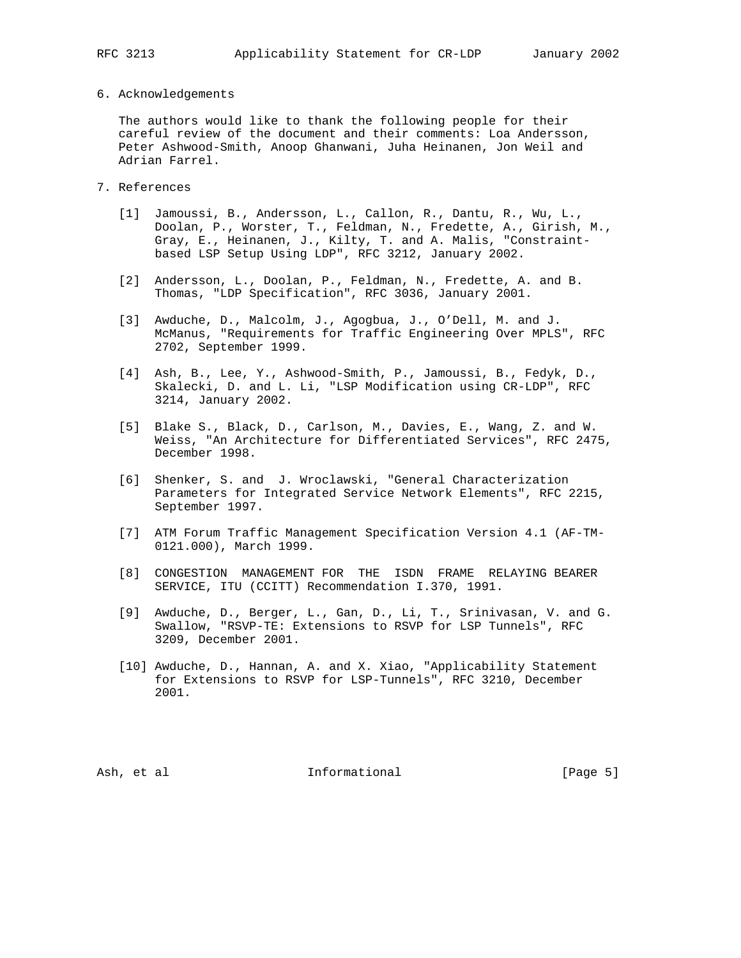## 6. Acknowledgements

 The authors would like to thank the following people for their careful review of the document and their comments: Loa Andersson, Peter Ashwood-Smith, Anoop Ghanwani, Juha Heinanen, Jon Weil and Adrian Farrel.

- 7. References
	- [1] Jamoussi, B., Andersson, L., Callon, R., Dantu, R., Wu, L., Doolan, P., Worster, T., Feldman, N., Fredette, A., Girish, M., Gray, E., Heinanen, J., Kilty, T. and A. Malis, "Constraint based LSP Setup Using LDP", RFC 3212, January 2002.
	- [2] Andersson, L., Doolan, P., Feldman, N., Fredette, A. and B. Thomas, "LDP Specification", RFC 3036, January 2001.
	- [3] Awduche, D., Malcolm, J., Agogbua, J., O'Dell, M. and J. McManus, "Requirements for Traffic Engineering Over MPLS", RFC 2702, September 1999.
	- [4] Ash, B., Lee, Y., Ashwood-Smith, P., Jamoussi, B., Fedyk, D., Skalecki, D. and L. Li, "LSP Modification using CR-LDP", RFC 3214, January 2002.
	- [5] Blake S., Black, D., Carlson, M., Davies, E., Wang, Z. and W. Weiss, "An Architecture for Differentiated Services", RFC 2475, December 1998.
	- [6] Shenker, S. and J. Wroclawski, "General Characterization Parameters for Integrated Service Network Elements", RFC 2215, September 1997.
	- [7] ATM Forum Traffic Management Specification Version 4.1 (AF-TM- 0121.000), March 1999.
	- [8] CONGESTION MANAGEMENT FOR THE ISDN FRAME RELAYING BEARER SERVICE, ITU (CCITT) Recommendation I.370, 1991.
	- [9] Awduche, D., Berger, L., Gan, D., Li, T., Srinivasan, V. and G. Swallow, "RSVP-TE: Extensions to RSVP for LSP Tunnels", RFC 3209, December 2001.
	- [10] Awduche, D., Hannan, A. and X. Xiao, "Applicability Statement for Extensions to RSVP for LSP-Tunnels", RFC 3210, December 2001.

Ash, et al informational [Page 5]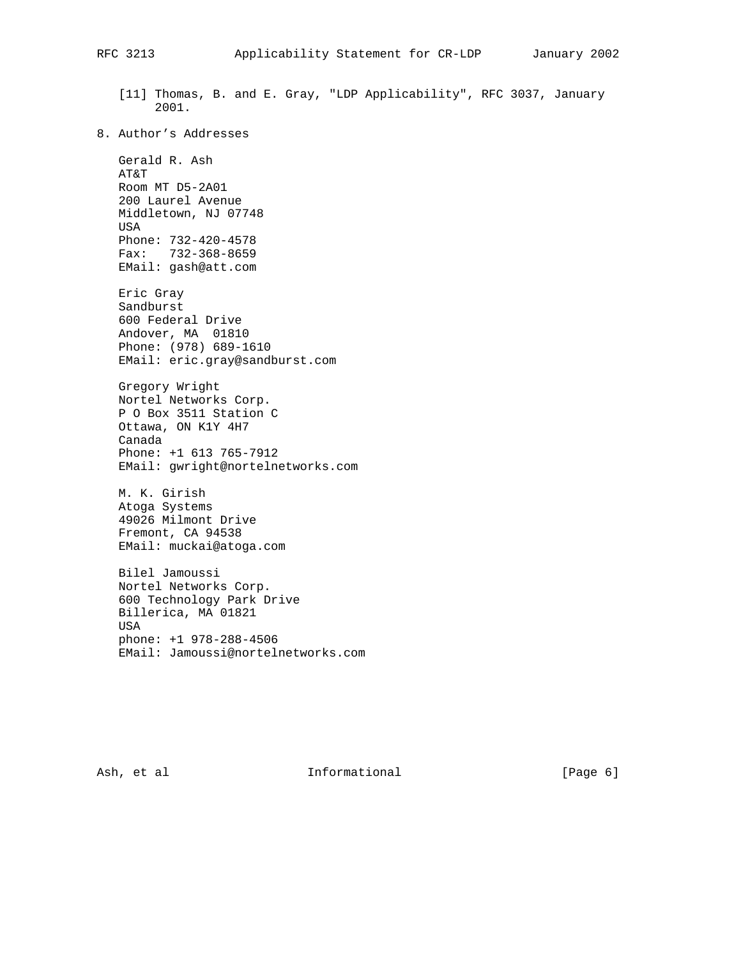[11] Thomas, B. and E. Gray, "LDP Applicability", RFC 3037, January 2001. 8. Author's Addresses Gerald R. Ash AT&T Room MT D5-2A01 200 Laurel Avenue Middletown, NJ 07748 USA Phone: 732-420-4578 Fax: 732-368-8659 EMail: gash@att.com Eric Gray Sandburst 600 Federal Drive Andover, MA 01810 Phone: (978) 689-1610 EMail: eric.gray@sandburst.com Gregory Wright Nortel Networks Corp. P O Box 3511 Station C Ottawa, ON K1Y 4H7 Canada Phone: +1 613 765-7912 EMail: gwright@nortelnetworks.com M. K. Girish Atoga Systems 49026 Milmont Drive Fremont, CA 94538 EMail: muckai@atoga.com Bilel Jamoussi Nortel Networks Corp. 600 Technology Park Drive Billerica, MA 01821 USA phone: +1 978-288-4506 EMail: Jamoussi@nortelnetworks.com

Ash, et al informational (Page 6)